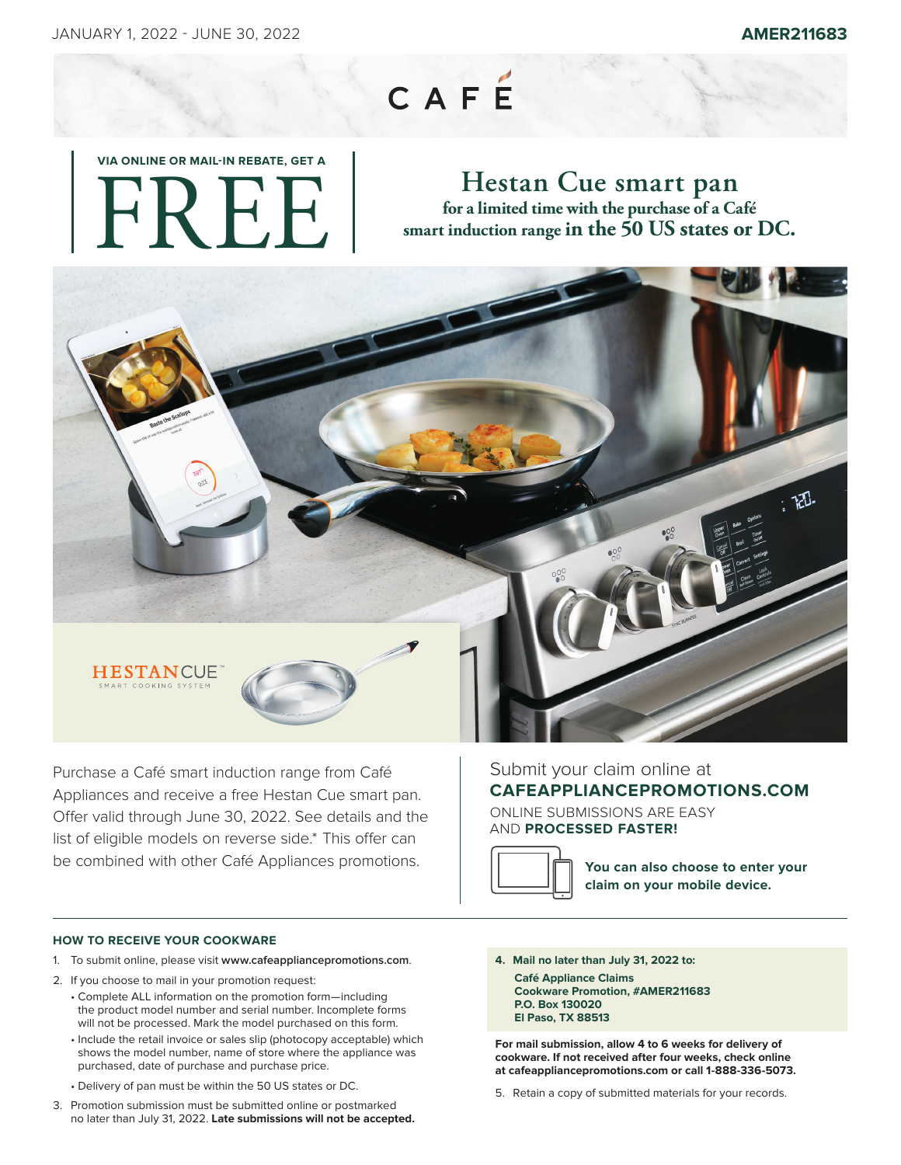## CAFÉ

# **VIA ONLINE OR MAIL-IN REBATE, GET A**  FREE!

## **Hestan Cue smart pan for a limited time with the purchase of a Café smart induction range in the 50 US states or DC.**



Purchase a Café smart induction range from Café Appliances and receive a free Hestan Cue smart pan. Offer valid through June 30, 2022. See details and the list of eligible models on reverse side.\* This offer can be combined with other Café Appliances promotions.

### **HOW TO RECEIVE YOUR COOKWARE**

- 1. To submit online, please visit **www.cafeappliancepromotions.com**.
- 2. If you choose to mail in your promotion request:
	- Complete ALL information on the promotion form—including the product model number and serial number. Incomplete forms will not be processed. Mark the model purchased on this form.
	- Include the retail invoice or sales slip (photocopy acceptable) which shows the model number, name of store where the appliance was purchased, date of purchase and purchase price.
	- Delivery of pan must be within the 50 US states or DC.
- 3. Promotion submission must be submitted online or postmarked no later than July 31, 2022. **Late submissions will not be accepted.**

#### Submit your claim online at **CAFEAPPLIANCEPROMOTIONS.COM**

ONLINE SUBMISSIONS ARE EASY AND **PROCESSED FASTER!**



**You can also choose to enter your claim on your mobile device.**

**4. Mail no later than July 31, 2022 to: Café Appliance Claims Cookware Promotion, #AMER211683 P.O. Box 130020 El Paso, TX 88513**

**For mail submission, allow 4 to 6 weeks for delivery of cookware. If not received after four weeks, check online at cafeappliancepromotions.com or call 1-888-336-5073.**

5. Retain a copy of submitted materials for your records.